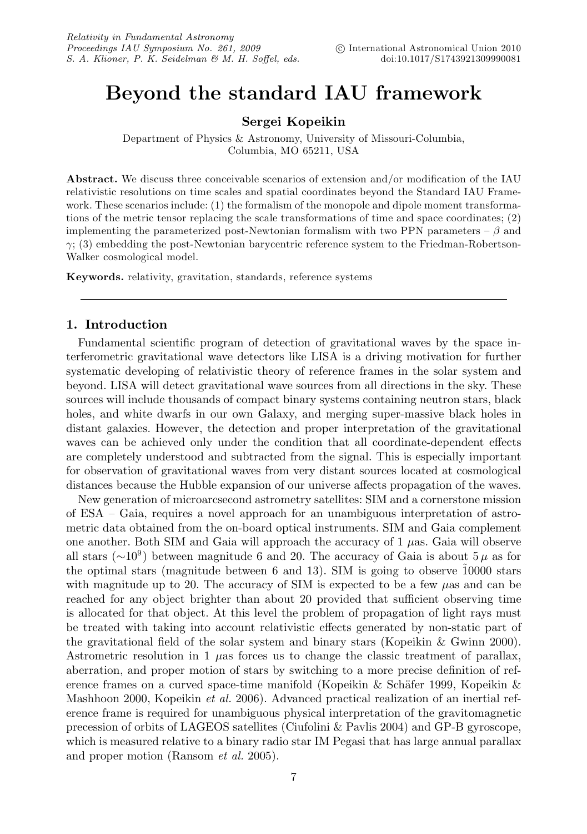# **Beyond the standard IAU framework**

# **Sergei Kopeikin**

Department of Physics & Astronomy, University of Missouri-Columbia, Columbia, MO 65211, USA

**Abstract.** We discuss three conceivable scenarios of extension and/or modification of the IAU relativistic resolutions on time scales and spatial coordinates beyond the Standard IAU Framework. These scenarios include: (1) the formalism of the monopole and dipole moment transformations of the metric tensor replacing the scale transformations of time and space coordinates; (2) implementing the parameterized post-Newtonian formalism with two PPN parameters –  $\beta$  and  $\gamma$ ; (3) embedding the post-Newtonian barycentric reference system to the Friedman-Robertson-Walker cosmological model.

**Keywords.** relativity, gravitation, standards, reference systems

# **1. Introduction**

Fundamental scientific program of detection of gravitational waves by the space interferometric gravitational wave detectors like LISA is a driving motivation for further systematic developing of relativistic theory of reference frames in the solar system and beyond. LISA will detect gravitational wave sources from all directions in the sky. These sources will include thousands of compact binary systems containing neutron stars, black holes, and white dwarfs in our own Galaxy, and merging super-massive black holes in distant galaxies. However, the detection and proper interpretation of the gravitational waves can be achieved only under the condition that all coordinate-dependent effects are completely understood and subtracted from the signal. This is especially important for observation of gravitational waves from very distant sources located at cosmological distances because the Hubble expansion of our universe affects propagation of the waves.

New generation of microarcsecond astrometry satellites: SIM and a cornerstone mission of ESA – Gaia, requires a novel approach for an unambiguous interpretation of astrometric data obtained from the on-board optical instruments. SIM and Gaia complement one another. Both SIM and Gaia will approach the accuracy of  $1 \mu$ as. Gaia will observe all stars ( $\sim$ 10<sup>9</sup>) between magnitude 6 and 20. The accuracy of Gaia is about 5  $\mu$  as for the optimal stars (magnitude between 6 and 13). SIM is going to observe  $10000$  stars with magnitude up to 20. The accuracy of SIM is expected to be a few  $\mu$ as and can be reached for any object brighter than about 20 provided that sufficient observing time is allocated for that object. At this level the problem of propagation of light rays must be treated with taking into account relativistic effects generated by non-static part of the gravitational field of the solar system and binary stars (Kopeikin & Gwinn 2000). Astrometric resolution in 1  $\mu$ as forces us to change the classic treatment of parallax, aberration, and proper motion of stars by switching to a more precise definition of reference frames on a curved space-time manifold (Kopeikin  $\&$  Schäfer 1999, Kopeikin  $\&$ Mashhoon 2000, Kopeikin *et al.* 2006). Advanced practical realization of an inertial reference frame is required for unambiguous physical interpretation of the gravitomagnetic precession of orbits of LAGEOS satellites (Ciufolini & Pavlis 2004) and GP-B gyroscope, which is measured relative to a binary radio star IM Pegasi that has large annual parallax and proper motion (Ransom et al. 2005).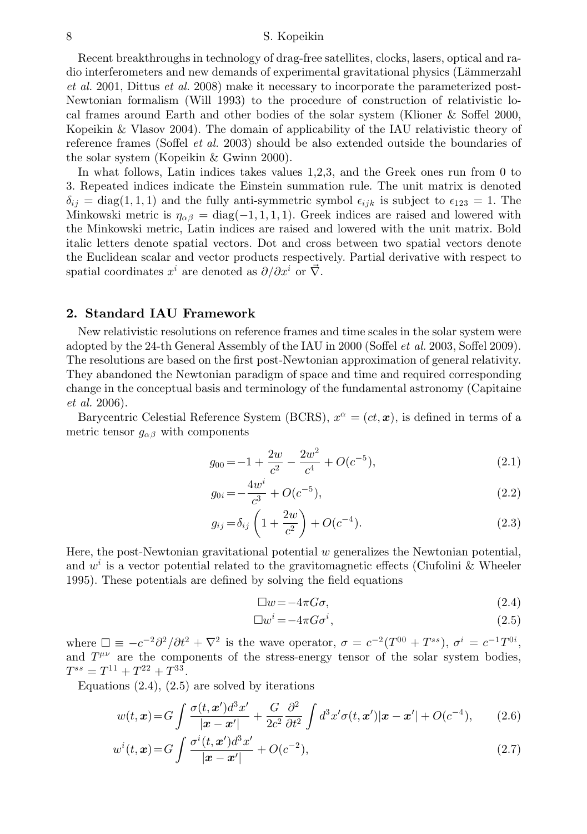#### 8 S. Kopeikin

Recent breakthroughs in technology of drag-free satellites, clocks, lasers, optical and radio interferometers and new demands of experimental gravitational physics (Lämmerzahl et al. 2001, Dittus et al. 2008) make it necessary to incorporate the parameterized post-Newtonian formalism (Will 1993) to the procedure of construction of relativistic local frames around Earth and other bodies of the solar system (Klioner & Soffel 2000, Kopeikin & Vlasov 2004). The domain of applicability of the IAU relativistic theory of reference frames (Soffel et al. 2003) should be also extended outside the boundaries of the solar system (Kopeikin & Gwinn 2000).

In what follows, Latin indices takes values 1,2,3, and the Greek ones run from 0 to 3. Repeated indices indicate the Einstein summation rule. The unit matrix is denoted  $\delta_{ij} = \text{diag}(1, 1, 1)$  and the fully anti-symmetric symbol  $\epsilon_{ijk}$  is subject to  $\epsilon_{123} = 1$ . The Minkowski metric is  $\eta_{\alpha\beta} = \text{diag}(-1, 1, 1, 1)$ . Greek indices are raised and lowered with the Minkowski metric, Latin indices are raised and lowered with the unit matrix. Bold italic letters denote spatial vectors. Dot and cross between two spatial vectors denote the Euclidean scalar and vector products respectively. Partial derivative with respect to spatial coordinates  $x^i$  are denoted as  $\partial/\partial x^i$  or  $\overrightarrow{\nabla}$ .

# **2. Standard IAU Framework**

New relativistic resolutions on reference frames and time scales in the solar system were adopted by the 24-th General Assembly of the IAU in 2000 (Soffel *et al.* 2003, Soffel 2009). The resolutions are based on the first post-Newtonian approximation of general relativity. They abandoned the Newtonian paradigm of space and time and required corresponding change in the conceptual basis and terminology of the fundamental astronomy (Capitaine et al. 2006).

Barycentric Celestial Reference System (BCRS),  $x^{\alpha} = (ct, x)$ , is defined in terms of a metric tensor  $g_{\alpha\beta}$  with components

$$
g_{00} = -1 + \frac{2w}{c^2} - \frac{2w^2}{c^4} + O(c^{-5}),
$$
\n(2.1)

$$
g_{0i} = -\frac{4w^i}{c^3} + O(c^{-5}),\tag{2.2}
$$

$$
g_{ij} = \delta_{ij} \left( 1 + \frac{2w}{c^2} \right) + O(c^{-4}).
$$
\n(2.3)

Here, the post-Newtonian gravitational potential  $w$  generalizes the Newtonian potential, and  $w^i$  is a vector potential related to the gravitomagnetic effects (Ciufolini & Wheeler 1995). These potentials are defined by solving the field equations

$$
\Box w = -4\pi G \sigma,\tag{2.4}
$$

$$
\Box w^i = -4\pi G \sigma^i,\tag{2.5}
$$

where  $\Box \equiv -c^{-2}\partial^2/\partial t^2 + \nabla^2$  is the wave operator,  $\sigma = c^{-2}(T^{00} + T^{ss})$ ,  $\sigma^i = c^{-1}T^{0i}$ , and  $T^{\mu\nu}$  are the components of the stress-energy tensor of the solar system bodies,  $T^{ss} = T^{11} + T^{22} + T^{33}$ .

Equations  $(2.4)$ ,  $(2.5)$  are solved by iterations

$$
w(t, \mathbf{x}) = G \int \frac{\sigma(t, \mathbf{x}')d^3x'}{|\mathbf{x} - \mathbf{x}'|} + \frac{G}{2c^2} \frac{\partial^2}{\partial t^2} \int d^3x' \sigma(t, \mathbf{x}') |\mathbf{x} - \mathbf{x}'| + O(c^{-4}), \qquad (2.6)
$$

$$
w^{i}(t,\boldsymbol{x}) = G \int \frac{\sigma^{i}(t,\boldsymbol{x}')d^{3}\boldsymbol{x}'}{|\boldsymbol{x}-\boldsymbol{x}'|} + O(c^{-2}),
$$
\n(2.7)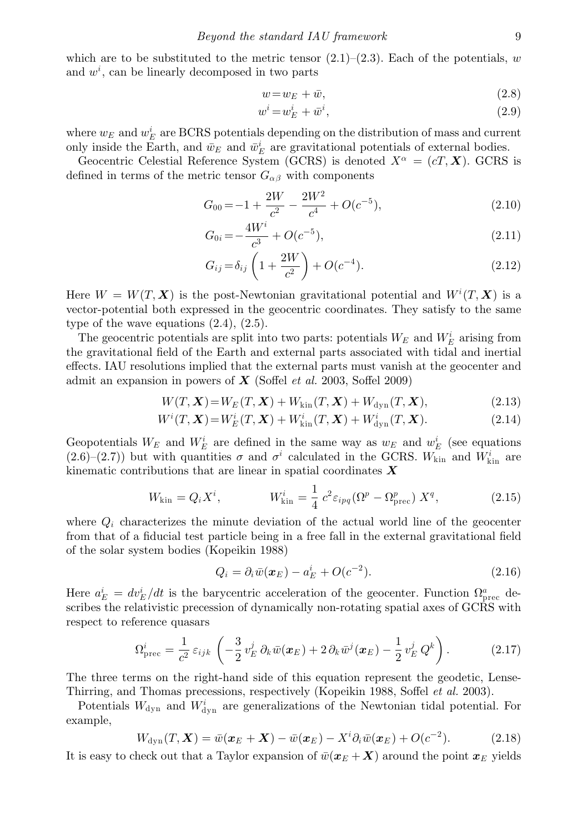which are to be substituted to the metric tensor  $(2.1)$ – $(2.3)$ . Each of the potentials, w and  $w<sup>i</sup>$ , can be linearly decomposed in two parts

$$
w = w_E + \bar{w},\tag{2.8}
$$

$$
w^i = w_E^i + \bar{w}^i,\tag{2.9}
$$

where  $w_E$  and  $w_E^i$  are BCRS potentials depending on the distribution of mass and current only inside the Earth, and  $\bar{w}_E$  and  $\bar{w}_E^i$  are gravitational potentials of external bodies.

Geocentric Celestial Reference System (GCRS) is denoted  $X^{\alpha} = (cT, \mathbf{X})$ . GCRS is defined in terms of the metric tensor  $G_{\alpha\beta}$  with components

$$
G_{00} = -1 + \frac{2W}{c^2} - \frac{2W^2}{c^4} + O(c^{-5}),
$$
\n(2.10)

$$
G_{0i} = -\frac{4W^i}{c^3} + O(c^{-5}),\tag{2.11}
$$

$$
G_{ij} = \delta_{ij} \left( 1 + \frac{2W}{c^2} \right) + O(c^{-4}).
$$
\n(2.12)

Here  $W = W(T, X)$  is the post-Newtonian gravitational potential and  $W^{i}(T, X)$  is a vector-potential both expressed in the geocentric coordinates. They satisfy to the same type of the wave equations (2.4), (2.5).

The geocentric potentials are split into two parts: potentials  $W_E$  and  $W_E^i$  arising from the gravitational field of the Earth and external parts associated with tidal and inertial effects. IAU resolutions implied that the external parts must vanish at the geocenter and admit an expansion in powers of *X* (Soffel et al. 2003, Soffel 2009)

$$
W(T, X) = W_E(T, X) + W_{kin}(T, X) + W_{dyn}(T, X),
$$
\n(2.13)

$$
W^{i}(T, \boldsymbol{X}) = W_{E}^{i}(T, \boldsymbol{X}) + W_{\text{kin}}^{i}(T, \boldsymbol{X}) + W_{\text{dyn}}^{i}(T, \boldsymbol{X}).
$$
\n(2.14)

Geopotentials  $W_E$  and  $W_E^i$  are defined in the same way as  $w_E$  and  $w_E^i$  (see equations  $(2.6)$ – $(2.7)$ ) but with quantities  $\sigma$  and  $\sigma^i$  calculated in the GCRS.  $W_{\text{kin}}$  and  $W_{\text{kin}}^i$  are kinematic contributions that are linear in spatial coordinates *X*

$$
W_{\rm kin} = Q_i X^i, \qquad W_{\rm kin}^i = \frac{1}{4} c^2 \varepsilon_{ipq} (\Omega^p - \Omega_{\rm prec}^p) X^q, \qquad (2.15)
$$

where  $Q_i$  characterizes the minute deviation of the actual world line of the geocenter from that of a fiducial test particle being in a free fall in the external gravitational field of the solar system bodies (Kopeikin 1988)

$$
Q_i = \partial_i \bar{w}(\boldsymbol{x}_E) - a_E^i + O(c^{-2}). \qquad (2.16)
$$

Here  $a_E^i = dv_E^i/dt$  is the barycentric acceleration of the geocenter. Function  $\Omega_{\text{prec}}^a$  describes the relativistic precession of dynamically non-rotating spatial axes of GCRS with respect to reference quasars

$$
\Omega_{\text{prec}}^i = \frac{1}{c^2} \varepsilon_{ijk} \left( -\frac{3}{2} v_E^j \partial_k \bar{w}(\boldsymbol{x}_E) + 2 \partial_k \bar{w}^j(\boldsymbol{x}_E) - \frac{1}{2} v_E^j Q^k \right). \tag{2.17}
$$

The three terms on the right-hand side of this equation represent the geodetic, Lense-Thirring, and Thomas precessions, respectively (Kopeikin 1988, Soffel *et al.* 2003).

Potentials  $W_{\text{dyn}}$  and  $W_{\text{dyn}}^i$  are generalizations of the Newtonian tidal potential. For example,

$$
W_{\rm dyn}(T,\boldsymbol{X})=\bar{w}(\boldsymbol{x}_E+\boldsymbol{X})-\bar{w}(\boldsymbol{x}_E)-X^i\partial_i\bar{w}(\boldsymbol{x}_E)+O(c^{-2}).\hspace{1cm}(2.18)
$$

It is easy to check out that a Taylor expansion of  $\bar{w}(x_E + X)$  around the point  $x_E$  yields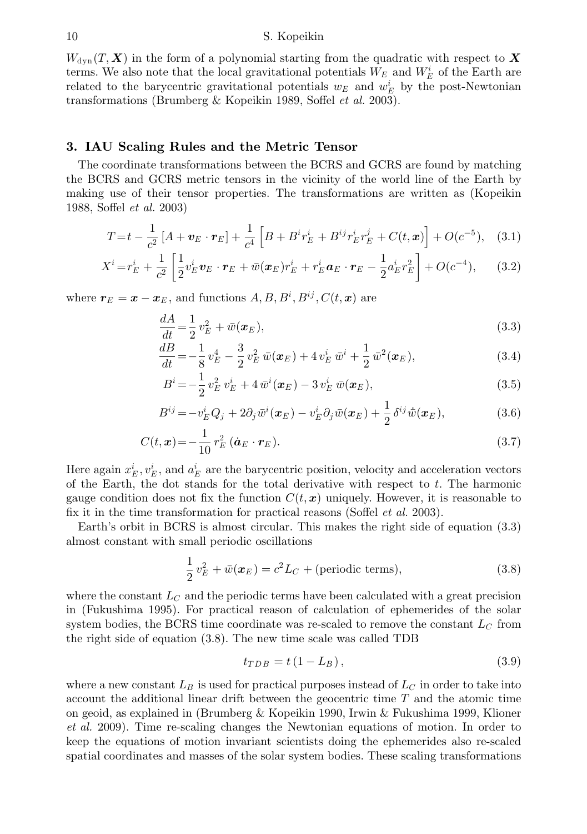$W_{\text{dyn}}(T, X)$  in the form of a polynomial starting from the quadratic with respect to  $X$ terms. We also note that the local gravitational potentials  $W_E$  and  $W_E^i$  of the Earth are related to the barycentric gravitational potentials  $w_E$  and  $w_E^i$  by the post-Newtonian transformations (Brumberg & Kopeikin 1989, Soffel et al. 2003).

# **3. IAU Scaling Rules and the Metric Tensor**

The coordinate transformations between the BCRS and GCRS are found by matching the BCRS and GCRS metric tensors in the vicinity of the world line of the Earth by making use of their tensor properties. The transformations are written as (Kopeikin 1988, Soffel et al. 2003)

$$
T = t - \frac{1}{c^2} [A + v_E \cdot r_E] + \frac{1}{c^4} \left[ B + B^i r_E^i + B^{ij} r_E^i r_E^j + C(t, x) \right] + O(c^{-5}), \quad (3.1)
$$

$$
X^{i} = r_{E}^{i} + \frac{1}{c^{2}} \left[ \frac{1}{2} v_{E}^{i} v_{E} \cdot r_{E} + \bar{w} (\boldsymbol{x}_{E}) r_{E}^{i} + r_{E}^{i} \boldsymbol{a}_{E} \cdot r_{E} - \frac{1}{2} a_{E}^{i} r_{E}^{2} \right] + O(c^{-4}), \quad (3.2)
$$

where  $r_E = x - x_E$ , and functions  $A, B, B^i, B^{ij}, C(t, x)$  are

$$
\frac{dA}{dt} = \frac{1}{2}v_E^2 + \bar{w}(\pmb{x}_E),\tag{3.3}
$$

$$
\frac{dB}{dt} = -\frac{1}{8}v_E^4 - \frac{3}{2}v_E^2\,\bar{w}(\boldsymbol{x}_E) + 4\,v_E^i\,\bar{w}^i + \frac{1}{2}\,\bar{w}^2(\boldsymbol{x}_E),\tag{3.4}
$$

$$
B^{i} = -\frac{1}{2} v_{E}^{2} v_{E}^{i} + 4 \bar{w}^{i}(\boldsymbol{x}_{E}) - 3 v_{E}^{i} \bar{w}(\boldsymbol{x}_{E}), \qquad (3.5)
$$

$$
B^{ij} = -v_E^i Q_j + 2\partial_j \bar{w}^i(\boldsymbol{x}_E) - v_E^i \partial_j \bar{w}(\boldsymbol{x}_E) + \frac{1}{2} \delta^{ij} \dot{\bar{w}}(\boldsymbol{x}_E), \qquad (3.6)
$$

$$
C(t, \mathbf{x}) = -\frac{1}{10} r_E^2 (\dot{\mathbf{a}}_E \cdot \mathbf{r}_E).
$$
\n(3.7)

Here again  $x_E^i, v_E^i$ , and  $a_E^i$  are the barycentric position, velocity and acceleration vectors of the Earth, the dot stands for the total derivative with respect to  $t$ . The harmonic gauge condition does not fix the function  $C(t, x)$  uniquely. However, it is reasonable to fix it in the time transformation for practical reasons (Soffel *et al.* 2003).

Earth's orbit in BCRS is almost circular. This makes the right side of equation (3.3) almost constant with small periodic oscillations

$$
\frac{1}{2}v_E^2 + \bar{w}(\boldsymbol{x}_E) = c^2 L_C + \text{(periodic terms)},\tag{3.8}
$$

where the constant  $L<sub>C</sub>$  and the periodic terms have been calculated with a great precision in (Fukushima 1995). For practical reason of calculation of ephemerides of the solar system bodies, the BCRS time coordinate was re-scaled to remove the constant  $L_C$  from the right side of equation (3.8). The new time scale was called TDB

$$
t_{TDB} = t\left(1 - L_B\right),\tag{3.9}
$$

where a new constant  $L_B$  is used for practical purposes instead of  $L_C$  in order to take into account the additional linear drift between the geocentric time  $T$  and the atomic time on geoid, as explained in (Brumberg & Kopeikin 1990, Irwin & Fukushima 1999, Klioner et al. 2009). Time re-scaling changes the Newtonian equations of motion. In order to keep the equations of motion invariant scientists doing the ephemerides also re-scaled spatial coordinates and masses of the solar system bodies. These scaling transformations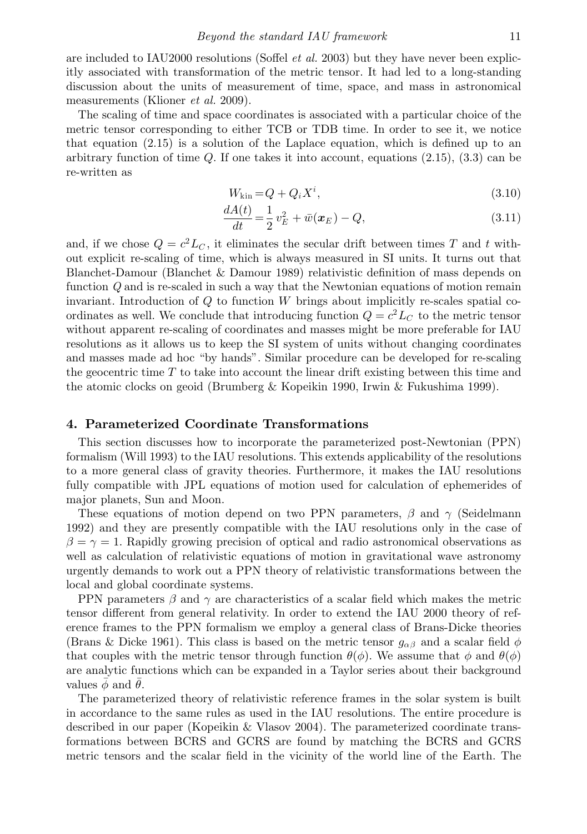are included to IAU2000 resolutions (Soffel *et al.* 2003) but they have never been explicitly associated with transformation of the metric tensor. It had led to a long-standing discussion about the units of measurement of time, space, and mass in astronomical measurements (Klioner *et al.* 2009).

The scaling of time and space coordinates is associated with a particular choice of the metric tensor corresponding to either TCB or TDB time. In order to see it, we notice that equation (2.15) is a solution of the Laplace equation, which is defined up to an arbitrary function of time  $Q$ . If one takes it into account, equations  $(2.15)$ ,  $(3.3)$  can be re-written as

$$
W_{\rm kin} = Q + Q_i X^i, \tag{3.10}
$$

$$
\frac{dA(t)}{dt} = \frac{1}{2}v_E^2 + \bar{w}(\boldsymbol{x}_E) - Q,\tag{3.11}
$$

and, if we chose  $Q = c^2 L_C$ , it eliminates the secular drift between times T and t without explicit re-scaling of time, which is always measured in SI units. It turns out that Blanchet-Damour (Blanchet & Damour 1989) relativistic definition of mass depends on function Q and is re-scaled in such a way that the Newtonian equations of motion remain invariant. Introduction of  $Q$  to function  $W$  brings about implicitly re-scales spatial coordinates as well. We conclude that introducing function  $Q = c^2 L_C$  to the metric tensor without apparent re-scaling of coordinates and masses might be more preferable for IAU resolutions as it allows us to keep the SI system of units without changing coordinates and masses made ad hoc "by hands". Similar procedure can be developed for re-scaling the geocentric time T to take into account the linear drift existing between this time and the atomic clocks on geoid (Brumberg & Kopeikin 1990, Irwin & Fukushima 1999).

#### **4. Parameterized Coordinate Transformations**

This section discusses how to incorporate the parameterized post-Newtonian (PPN) formalism (Will 1993) to the IAU resolutions. This extends applicability of the resolutions to a more general class of gravity theories. Furthermore, it makes the IAU resolutions fully compatible with JPL equations of motion used for calculation of ephemerides of major planets, Sun and Moon.

These equations of motion depend on two PPN parameters,  $\beta$  and  $\gamma$  (Seidelmann 1992) and they are presently compatible with the IAU resolutions only in the case of  $\beta = \gamma = 1$ . Rapidly growing precision of optical and radio astronomical observations as well as calculation of relativistic equations of motion in gravitational wave astronomy urgently demands to work out a PPN theory of relativistic transformations between the local and global coordinate systems.

PPN parameters  $\beta$  and  $\gamma$  are characteristics of a scalar field which makes the metric tensor different from general relativity. In order to extend the IAU 2000 theory of reference frames to the PPN formalism we employ a general class of Brans-Dicke theories (Brans & Dicke 1961). This class is based on the metric tensor  $g_{\alpha\beta}$  and a scalar field  $\phi$ that couples with the metric tensor through function  $\theta(\phi)$ . We assume that  $\phi$  and  $\theta(\phi)$ are analytic functions which can be expanded in a Taylor series about their background values  $\phi$  and  $\theta$ .

The parameterized theory of relativistic reference frames in the solar system is built in accordance to the same rules as used in the IAU resolutions. The entire procedure is described in our paper (Kopeikin & Vlasov 2004). The parameterized coordinate transformations between BCRS and GCRS are found by matching the BCRS and GCRS metric tensors and the scalar field in the vicinity of the world line of the Earth. The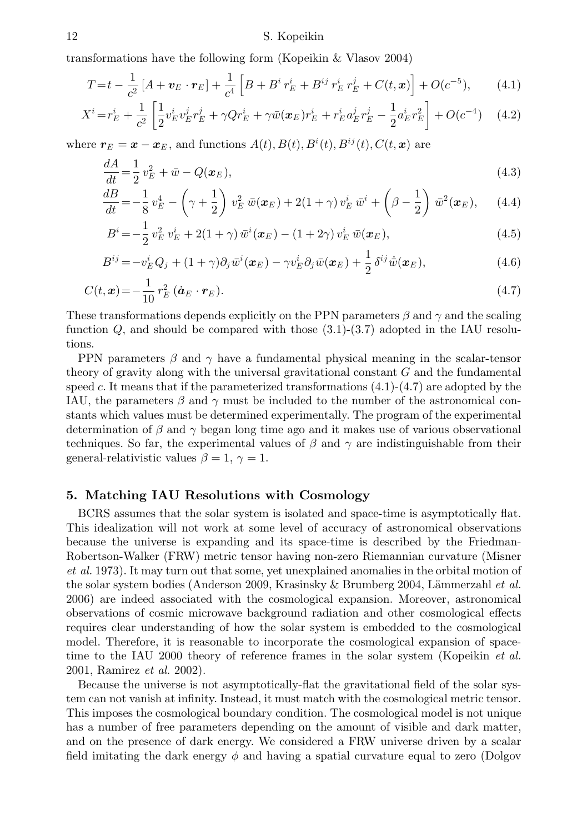#### 12 S. Kopeikin

transformations have the following form (Kopeikin & Vlasov 2004)

$$
T = t - \frac{1}{c^2} \left[ A + \mathbf{v}_E \cdot \mathbf{r}_E \right] + \frac{1}{c^4} \left[ B + B^i \, r_E^i + B^{ij} \, r_E^i \, r_E^j + C(t, \mathbf{x}) \right] + O(c^{-5}), \tag{4.1}
$$

$$
X^{i} = r_{E}^{i} + \frac{1}{c^{2}} \left[ \frac{1}{2} v_{E}^{i} v_{E}^{j} r_{E}^{j} + \gamma Q r_{E}^{i} + \gamma \bar{w} (\mathbf{x}_{E}) r_{E}^{i} + r_{E}^{i} a_{E}^{j} r_{E}^{j} - \frac{1}{2} a_{E}^{i} r_{E}^{2} \right] + O(c^{-4}) \quad (4.2)
$$

where  $r_E = x - x_E$ , and functions  $A(t)$ ,  $B(t)$ ,  $B^i(t)$ ,  $B^{ij}(t)$ ,  $C(t, x)$  are

$$
\frac{dA}{dt} = \frac{1}{2}v_E^2 + \bar{w} - Q(\pmb{x}_E),\tag{4.3}
$$

$$
\frac{dB}{dt} = -\frac{1}{8}v_E^4 - \left(\gamma + \frac{1}{2}\right)v_E^2 \,\bar{w}(\boldsymbol{x}_E) + 2(1+\gamma)\,v_E^i\,\bar{w}^i + \left(\beta - \frac{1}{2}\right)\,\bar{w}^2(\boldsymbol{x}_E),\qquad(4.4)
$$

$$
B^{i} = -\frac{1}{2} v_{E}^{2} v_{E}^{i} + 2(1+\gamma) \,\bar{w}^{i}(\boldsymbol{x}_{E}) - (1+2\gamma) v_{E}^{i} \,\bar{w}(\boldsymbol{x}_{E}), \tag{4.5}
$$

$$
B^{ij} = -v_E^i Q_j + (1+\gamma)\partial_j \bar{w}^i(\boldsymbol{x}_E) - \gamma v_E^i \partial_j \bar{w}(\boldsymbol{x}_E) + \frac{1}{2} \delta^{ij} \dot{\bar{w}}(\boldsymbol{x}_E), \qquad (4.6)
$$

$$
C(t, \mathbf{x}) = -\frac{1}{10} r_E^2 (\dot{\mathbf{a}}_E \cdot \mathbf{r}_E).
$$
\n(4.7)

These transformations depends explicitly on the PPN parameters  $\beta$  and  $\gamma$  and the scaling function Q, and should be compared with those (3.1)-(3.7) adopted in the IAU resolutions.

PPN parameters  $\beta$  and  $\gamma$  have a fundamental physical meaning in the scalar-tensor theory of gravity along with the universal gravitational constant  $G$  and the fundamental speed c. It means that if the parameterized transformations  $(4.1)-(4.7)$  are adopted by the IAU, the parameters  $\beta$  and  $\gamma$  must be included to the number of the astronomical constants which values must be determined experimentally. The program of the experimental determination of  $\beta$  and  $\gamma$  began long time ago and it makes use of various observational techniques. So far, the experimental values of  $\beta$  and  $\gamma$  are indistinguishable from their general-relativistic values  $\beta = 1, \gamma = 1.$ 

# **5. Matching IAU Resolutions with Cosmology**

BCRS assumes that the solar system is isolated and space-time is asymptotically flat. This idealization will not work at some level of accuracy of astronomical observations because the universe is expanding and its space-time is described by the Friedman-Robertson-Walker (FRW) metric tensor having non-zero Riemannian curvature (Misner et al. 1973). It may turn out that some, yet unexplained anomalies in the orbital motion of the solar system bodies (Anderson 2009, Krasinsky & Brumberg 2004, Lämmerzahl et al. 2006) are indeed associated with the cosmological expansion. Moreover, astronomical observations of cosmic microwave background radiation and other cosmological effects requires clear understanding of how the solar system is embedded to the cosmological model. Therefore, it is reasonable to incorporate the cosmological expansion of spacetime to the IAU 2000 theory of reference frames in the solar system (Kopeikin *et al.*) 2001, Ramirez et al. 2002).

Because the universe is not asymptotically-flat the gravitational field of the solar system can not vanish at infinity. Instead, it must match with the cosmological metric tensor. This imposes the cosmological boundary condition. The cosmological model is not unique has a number of free parameters depending on the amount of visible and dark matter, and on the presence of dark energy. We considered a FRW universe driven by a scalar field imitating the dark energy  $\phi$  and having a spatial curvature equal to zero (Dolgov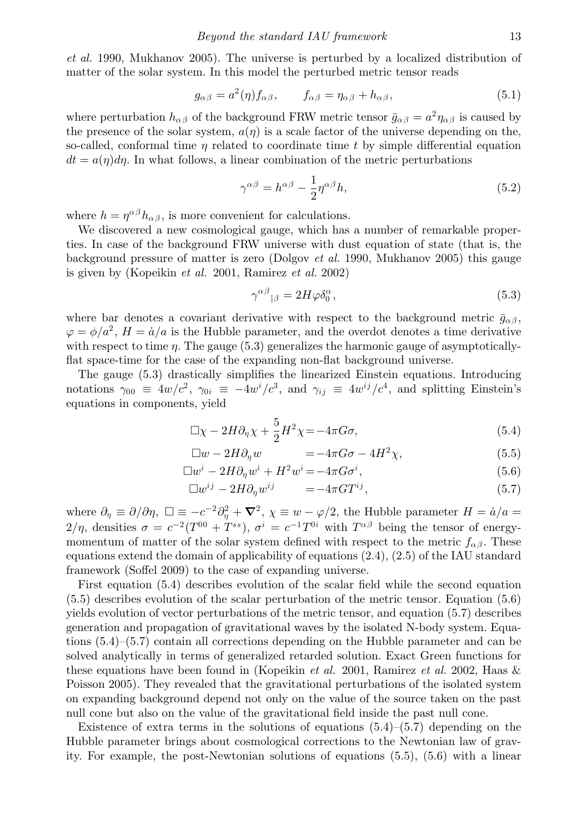et al. 1990, Mukhanov 2005). The universe is perturbed by a localized distribution of matter of the solar system. In this model the perturbed metric tensor reads

$$
g_{\alpha\beta} = a^2(\eta) f_{\alpha\beta}, \qquad f_{\alpha\beta} = \eta_{\alpha\beta} + h_{\alpha\beta}, \tag{5.1}
$$

where perturbation  $h_{\alpha\beta}$  of the background FRW metric tensor  $\bar{g}_{\alpha\beta} = a^2 \eta_{\alpha\beta}$  is caused by the presence of the solar system,  $a(\eta)$  is a scale factor of the universe depending on the, so-called, conformal time  $n$  related to coordinate time  $t$  by simple differential equation  $dt = a(\eta)d\eta$ . In what follows, a linear combination of the metric perturbations

$$
\gamma^{\alpha\beta} = h^{\alpha\beta} - \frac{1}{2} \eta^{\alpha\beta} h,\tag{5.2}
$$

where  $h = \eta^{\alpha\beta} h_{\alpha\beta}$ , is more convenient for calculations.

We discovered a new cosmological gauge, which has a number of remarkable properties. In case of the background FRW universe with dust equation of state (that is, the background pressure of matter is zero (Dolgov *et al.* 1990, Mukhanov 2005) this gauge is given by (Kopeikin et al. 2001, Ramirez et al. 2002)

$$
\gamma^{\alpha\beta}{}_{|\beta} = 2H\varphi\delta_0^{\alpha},\tag{5.3}
$$

where bar denotes a covariant derivative with respect to the background metric  $\bar{g}_{\alpha\beta}$ ,  $\varphi = \phi/a^2$ ,  $H = \dot{a}/a$  is the Hubble parameter, and the overdot denotes a time derivative with respect to time  $\eta$ . The gauge (5.3) generalizes the harmonic gauge of asymptoticallyflat space-time for the case of the expanding non-flat background universe.

The gauge (5.3) drastically simplifies the linearized Einstein equations. Introducing notations  $\gamma_{00} \equiv 4w/c^2$ ,  $\gamma_{0i} \equiv -4w^i/c^3$ , and  $\gamma_{ij} \equiv 4w^{ij}/c^4$ , and splitting Einstein's equations in components, yield

$$
\Box \chi - 2H \partial_{\eta} \chi + \frac{5}{2} H^2 \chi = -4\pi G \sigma, \tag{5.4}
$$

$$
\Box w - 2H\partial_{\eta} w = -4\pi G\sigma - 4H^2\chi, \qquad (5.5)
$$

$$
\Box w^i - 2H \partial_\eta w^i + H^2 w^i = -4\pi G \sigma^i, \tag{5.6}
$$

$$
\Box w^{ij} - 2H \partial_{\eta} w^{ij} = -4\pi G T^{ij}, \qquad (5.7)
$$

where  $\partial_{\eta} \equiv \partial/\partial \eta$ ,  $\square \equiv -c^{-2}\partial_{\eta}^{2} + \nabla^{2}$ ,  $\chi \equiv w - \varphi/2$ , the Hubble parameter  $H = \dot{a}/a =$  $2/\eta$ , densities  $\sigma = c^{-2}(T^{00} + T^{ss})$ ,  $\sigma^i = c^{-1}T^{0i}$  with  $T^{\alpha\beta}$  being the tensor of energymomentum of matter of the solar system defined with respect to the metric  $f_{\alpha\beta}$ . These equations extend the domain of applicability of equations (2.4), (2.5) of the IAU standard framework (Soffel 2009) to the case of expanding universe.

First equation (5.4) describes evolution of the scalar field while the second equation (5.5) describes evolution of the scalar perturbation of the metric tensor. Equation (5.6) yields evolution of vector perturbations of the metric tensor, and equation (5.7) describes generation and propagation of gravitational waves by the isolated N-body system. Equations (5.4)–(5.7) contain all corrections depending on the Hubble parameter and can be solved analytically in terms of generalized retarded solution. Exact Green functions for these equations have been found in (Kopeikin *et al.* 2001, Ramirez *et al.* 2002, Haas  $\&$ Poisson 2005). They revealed that the gravitational perturbations of the isolated system on expanding background depend not only on the value of the source taken on the past null cone but also on the value of the gravitational field inside the past null cone.

Existence of extra terms in the solutions of equations  $(5.4)$ – $(5.7)$  depending on the Hubble parameter brings about cosmological corrections to the Newtonian law of gravity. For example, the post-Newtonian solutions of equations (5.5), (5.6) with a linear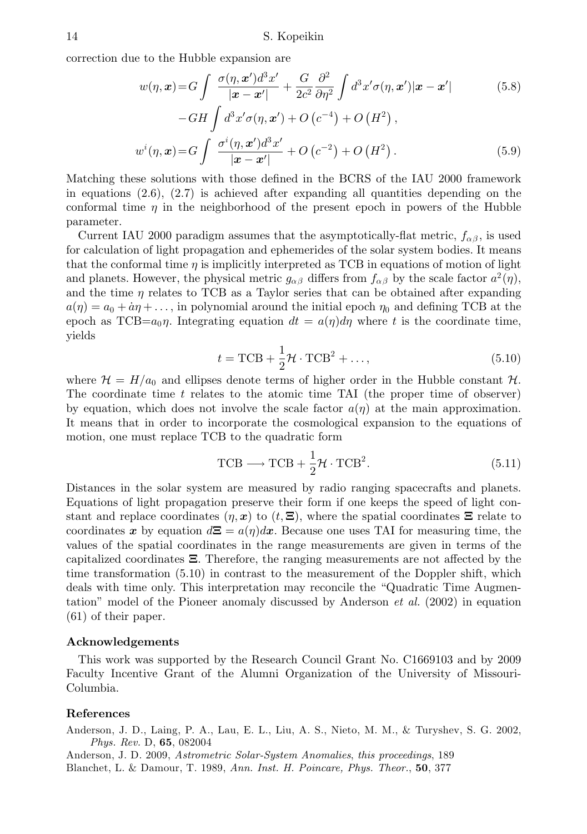correction due to the Hubble expansion are

$$
w(\eta, \mathbf{x}) = G \int \frac{\sigma(\eta, \mathbf{x}')d^3 x'}{|\mathbf{x} - \mathbf{x}'|} + \frac{G}{2c^2} \frac{\partial^2}{\partial \eta^2} \int d^3 x' \sigma(\eta, \mathbf{x}') |\mathbf{x} - \mathbf{x}'|
$$
(5.8)  

$$
-GH \int d^3 x' \sigma(\eta, \mathbf{x}') + O(c^{-4}) + O(H^2),
$$
  

$$
w^i(\eta, \mathbf{x}) = G \int \frac{\sigma^i(\eta, \mathbf{x}')d^3 x'}{|\mathbf{x} - \mathbf{x}'|} + O(c^{-2}) + O(H^2).
$$
(5.9)

Matching these solutions with those defined in the BCRS of the IAU 2000 framework in equations  $(2.6)$ ,  $(2.7)$  is achieved after expanding all quantities depending on the conformal time  $\eta$  in the neighborhood of the present epoch in powers of the Hubble parameter.

Current IAU 2000 paradigm assumes that the asymptotically-flat metric,  $f_{\alpha\beta}$ , is used for calculation of light propagation and ephemerides of the solar system bodies. It means that the conformal time  $\eta$  is implicitly interpreted as TCB in equations of motion of light and planets. However, the physical metric  $g_{\alpha\beta}$  differs from  $f_{\alpha\beta}$  by the scale factor  $a^2(\eta)$ , and the time  $\eta$  relates to TCB as a Taylor series that can be obtained after expanding  $a(\eta) = a_0 + \dot{a}\eta + \dots$ , in polynomial around the initial epoch  $\eta_0$  and defining TCB at the epoch as  $TCB=a_0\eta$ . Integrating equation  $dt = a(\eta)d\eta$  where t is the coordinate time, yields

$$
t = \text{TCB} + \frac{1}{2}\mathcal{H} \cdot \text{TCB}^2 + \dots,\tag{5.10}
$$

where  $\mathcal{H} = H/a_0$  and ellipses denote terms of higher order in the Hubble constant  $\mathcal{H}$ . The coordinate time  $t$  relates to the atomic time TAI (the proper time of observer) by equation, which does not involve the scale factor  $a(\eta)$  at the main approximation. It means that in order to incorporate the cosmological expansion to the equations of motion, one must replace TCB to the quadratic form

$$
TCB \longrightarrow TCB + \frac{1}{2} \mathcal{H} \cdot TCB^2.
$$
 (5.11)

Distances in the solar system are measured by radio ranging spacecrafts and planets. Equations of light propagation preserve their form if one keeps the speed of light constant and replace coordinates  $(\eta, x)$  to  $(t, \Xi)$ , where the spatial coordinates  $\Xi$  relate to coordinates x by equation  $d\Xi = a(\eta)dx$ . Because one uses TAI for measuring time, the values of the spatial coordinates in the range measurements are given in terms of the capitalized coordinates **Ξ**. Therefore, the ranging measurements are not affected by the time transformation (5.10) in contrast to the measurement of the Doppler shift, which deals with time only. This interpretation may reconcile the "Quadratic Time Augmentation" model of the Pioneer anomaly discussed by Anderson  $et \ al.$  (2002) in equation (61) of their paper.

#### **Acknowledgements**

This work was supported by the Research Council Grant No. C1669103 and by 2009 Faculty Incentive Grant of the Alumni Organization of the University of Missouri-Columbia.

#### **References**

Anderson, J. D., Laing, P. A., Lau, E. L., Liu, A. S., Nieto, M. M., & Turyshev, S. G. 2002, Phys. Rev. D, **65**, 082004

Anderson, J. D. 2009, Astrometric Solar-System Anomalies, this proceedings, 189 Blanchet, L. & Damour, T. 1989, Ann. Inst. H. Poincare, Phys. Theor., **50**, 377